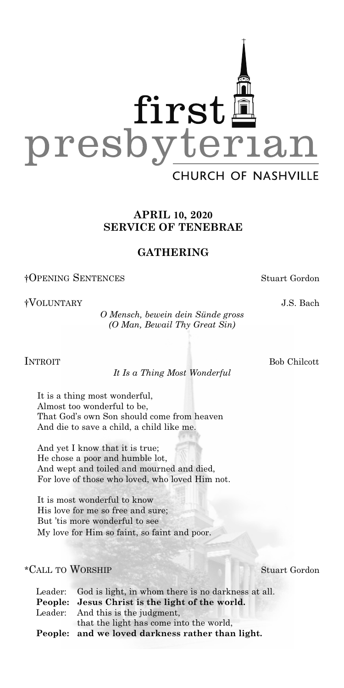

## **APRIL 10, 2020 SERVICE OF TENEBRAE**

## **GATHERING**

†OPENING SENTENCES Stuart Gordon

†VOLUNTARY J.S. Bach

*O Mensch, bewein dein Sünde gross (O Man, Bewail Thy Great Sin)*

*It Is a Thing Most Wonderful*

It is a thing most wonderful, Almost too wonderful to be, That God's own Son should come from heaven And die to save a child, a child like me.

And yet I know that it is true; He chose a poor and humble lot, And wept and toiled and mourned and died, For love of those who loved, who loved Him not.

It is most wonderful to know His love for me so free and sure; But 'tis more wonderful to see My love for Him so faint, so faint and poor.

#### \*CALL TO WORSHIP Stuart Gordon

| Leader: God is light, in whom there is no darkness at all. |
|------------------------------------------------------------|
| People: Jesus Christ is the light of the world.            |
| Leader: And this is the judgment,                          |
| that the light has come into the world,                    |
| People: and we loved darkness rather than light.           |

INTROIT Bob Chilcott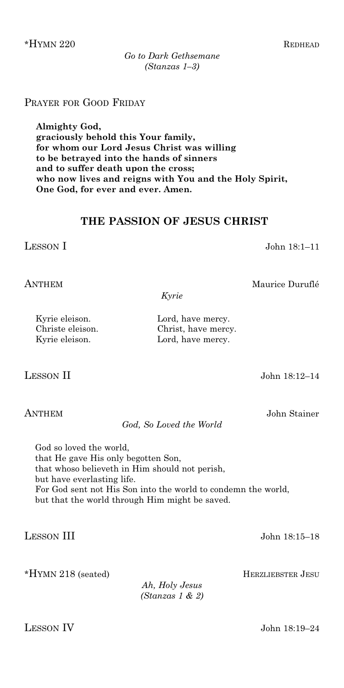\*HYMN 220REDHEAD

# PRAYER FOR GOOD FRIDAY

**Almighty God, graciously behold this Your family, for whom our Lord Jesus Christ was willing to be betrayed into the hands of sinners and to suffer death upon the cross; who now lives and reigns with You and the Holy Spirit, One God, for ever and ever. Amen.**

# **THE PASSION OF JESUS CHRIST**

LESSON I John 18:1–11

ANTHEM Maurice Duruflé

*Kyrie*

LESSON II John 18:12–14

ANTHEM John Stainer

*God, So Loved the World*

God so loved the world, that He gave His only begotten Son, that whoso believeth in Him should not perish, but have everlasting life. For God sent not His Son into the world to condemn the world, but that the world through Him might be saved.

LESSON III John 18:15–18

\*HYMN 218 (seated)HERZLIEBSTER JESU

*Ah, Holy Jesus (Stanzas 1 & 2)*

LESSON IV John 18:19–24

Kyrie eleison. Lord, have mercy. Christe eleison. Christ, have mercy.

Kyrie eleison. Lord, have mercy.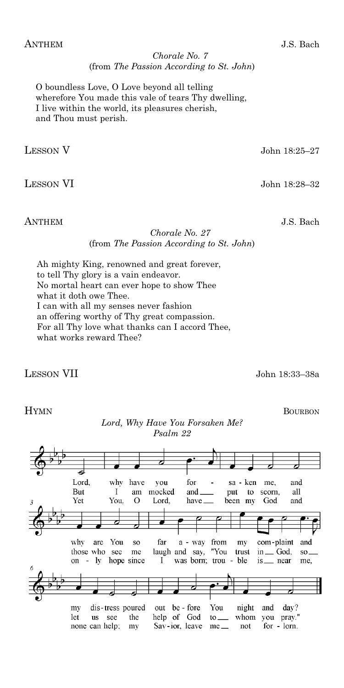*Chorale No. 7* (from *The Passion According to St. John*)

O boundless Love, O Love beyond all telling wherefore You made this vale of tears Thy dwelling, I live within the world, its pleasures cherish, and Thou must perish.

LESSON V John 18:25–27

LESSON VI John 18:28–32

ANTHEM J.S. Bach

#### *Chorale No. 27* (from *The Passion According to St. John*)

Ah mighty King, renowned and great forever, to tell Thy glory is a vain endeavor. No mortal heart can ever hope to show Thee what it doth owe Thee. I can with all my senses never fashion an offering worthy of Thy great compassion. For all Thy love what thanks can I accord Thee, what works reward Thee?

LESSON VII John 18:33–38a

# HYMN BOURBON

## *Lord, Why Have You Forsaken Me? Psalm 22*

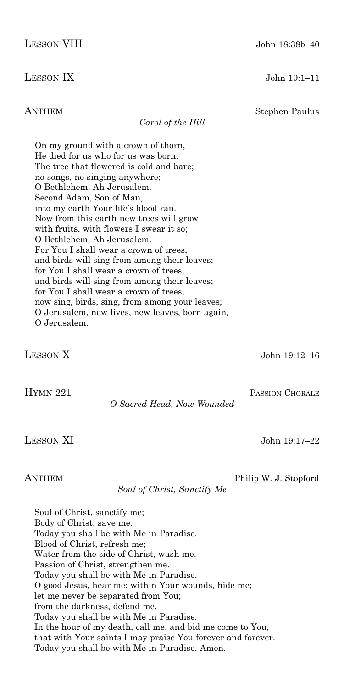ANTHEM Stephen Paulus

*Carol of the Hill*

On my ground with a crown of thorn, He died for us who for us was born. The tree that flowered is cold and bare; no songs, no singing anywhere; O Bethlehem, Ah Jerusalem. Second Adam, Son of Man, into my earth Your life's blood ran. Now from this earth new trees will grow with fruits, with flowers I swear it so; O Bethlehem, Ah Jerusalem. For You I shall wear a crown of trees, and birds will sing from among their leaves; for You I shall wear a crown of trees, and birds will sing from among their leaves; for You I shall wear a crown of trees; now sing, birds, sing, from among your leaves; O Jerusalem, new lives, new leaves, born again, O Jerusalem.

LESSON X John 19:12–16

HYMN 221 PASSION CHORALE

*O Sacred Head, Now Wounded*

#### ANTHEM Philip W. J. Stopford

*Soul of Christ, Sanctify Me*

Soul of Christ, sanctify me; Body of Christ, save me. Today you shall be with Me in Paradise. Blood of Christ, refresh me; Water from the side of Christ, wash me. Passion of Christ, strengthen me. Today you shall be with Me in Paradise. O good Jesus, hear me; within Your wounds, hide me; let me never be separated from You; from the darkness, defend me. Today you shall be with Me in Paradise. In the hour of my death, call me, and bid me come to You, that with Your saints I may praise You forever and forever. Today you shall be with Me in Paradise. Amen.

LESSON IX John 19:1–11

LESSON XI John 19:17–22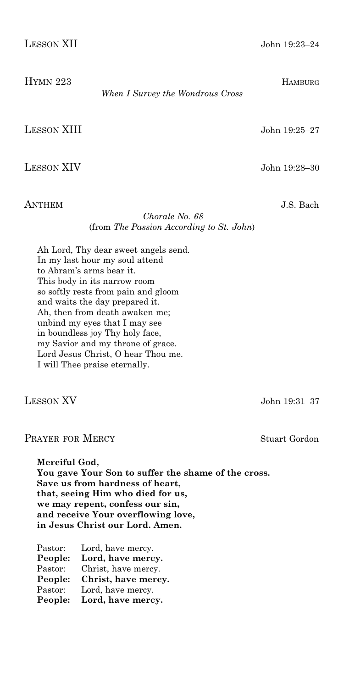| <b>LESSON XII</b> | John 19:23-24 |
|-------------------|---------------|
|                   |               |

| HYMN 223           |                                  | <b>HAMBURG</b> |
|--------------------|----------------------------------|----------------|
|                    | When I Survey the Wondrous Cross |                |
|                    |                                  |                |
|                    |                                  |                |
| <b>LESSON XIII</b> |                                  | John 19:25–27  |
|                    |                                  |                |
|                    |                                  |                |

LESSON XIV John 19:28–30

ANTHEM J.S. Bach

#### *Chorale No. 68* (from *The Passion According to St. John*)

Ah Lord, Thy dear sweet angels send. In my last hour my soul attend to Abram's arms bear it. This body in its narrow room so softly rests from pain and gloom and waits the day prepared it. Ah, then from death awaken me; unbind my eyes that I may see in boundless joy Thy holy face, my Savior and my throne of grace. Lord Jesus Christ, O hear Thou me. I will Thee praise eternally.

LESSON XV John 19:31–37

### PRAYER FOR MERCY Stuart Gordon

**Merciful God, You gave Your Son to suffer the shame of the cross. Save us from hardness of heart, that, seeing Him who died for us, we may repent, confess our sin, and receive Your overflowing love, in Jesus Christ our Lord. Amen.**

| Pastor: | Lord, have mercy.   |
|---------|---------------------|
| People: | Lord, have mercy.   |
| Pastor: | Christ, have mercy. |
| People: | Christ, have mercy. |
| Pastor: | Lord, have mercy.   |
| People: | Lord, have mercy.   |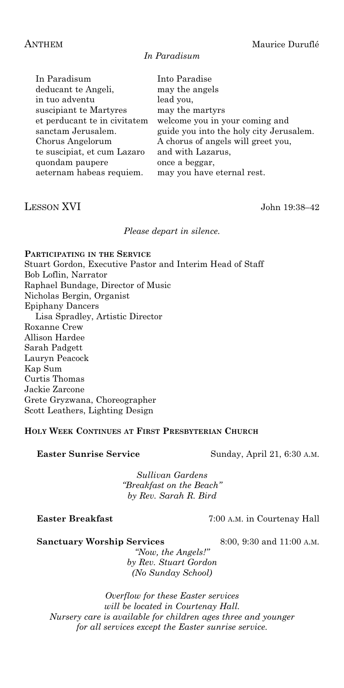#### *In Paradisum*

| In Paradisum                 | Into Paradise                           |
|------------------------------|-----------------------------------------|
| deducant te Angeli,          | may the angels                          |
| in tuo adventu               | lead you,                               |
| suscipiant te Martyres       | may the martyrs                         |
| et perducant te in civitatem | welcome you in your coming and          |
| sanctam Jerusalem.           | guide you into the holy city Jerusalem. |
| Chorus Angelorum             | A chorus of angels will greet you,      |
| te suscipiat, et cum Lazaro  | and with Lazarus,                       |
| quondam paupere              | once a beggar,                          |
| aeternam habeas requiem.     | may you have eternal rest.              |
|                              |                                         |

## LESSON XVI John 19:38–42

*Please depart in silence.*

**PARTICIPATING IN THE SERVICE** Stuart Gordon, Executive Pastor and Interim Head of Staff Bob Loflin, Narrator Raphael Bundage, Director of Music Nicholas Bergin, Organist Epiphany Dancers Lisa Spradley, Artistic Director Roxanne Crew Allison Hardee Sarah Padgett Lauryn Peacock Kap Sum Curtis Thomas Jackie Zarcone Grete Gryzwana, Choreographer Scott Leathers, Lighting Design

#### **HOLY WEEK CONTINUES AT FIRST PRESBYTERIAN CHURCH**

Easter Sunrise Service Sunday, April 21, 6:30 A.M.

*Sullivan Gardens "Breakfast on the Beach" by Rev. Sarah R. Bird*

**Easter Breakfast** 7:00 A.M. in Courtenay Hall

Sanctuary Worship Services 8:00, 9:30 and 11:00 A.M.

*"Now, the Angels!" by Rev. Stuart Gordon (No Sunday School)*

*Overflow for these Easter services will be located in Courtenay Hall. Nursery care is available for children ages three and younger for all services except the Easter sunrise service.*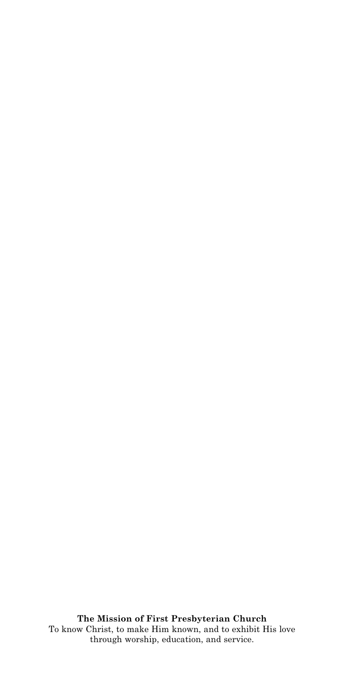**The Mission of First Presbyterian Church** To know Christ, to make Him known, and to exhibit His love through worship, education, and service.